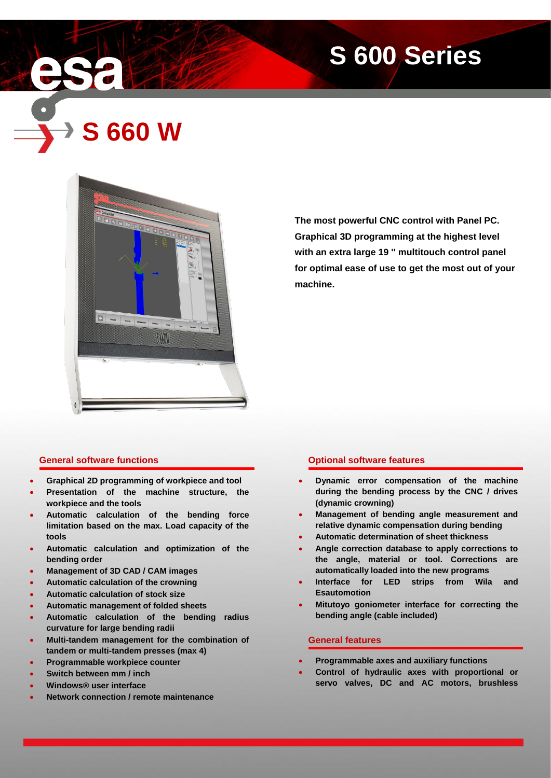# **S 600 Series**

**S 660 W**



**The most powerful CNC control with Panel PC. Graphical 3D programming at the highest level with an extra large 19 '' multitouch control panel for optimal ease of use to get the most out of your machine.**

# **General software functions**

- **Graphical 2D programming of workpiece and tool**
- **Presentation of the machine structure, the workpiece and the tools**
- **Automatic calculation of the bending force limitation based on the max. Load capacity of the tools**
- **Automatic calculation and optimization of the bending order**
- **Management of 3D CAD / CAM images**
- **Automatic calculation of the crowning**
- **Automatic calculation of stock size**
- **Automatic management of folded sheets**
- **Automatic calculation of the bending radius curvature for large bending radii**
- **Multi-tandem management for the combination of tandem or multi-tandem presses (max 4)**
- **Programmable workpiece counter**
- **Switch between mm / inch**
- **Windows® user interface**
- **Network connection / remote maintenance**

# **Optional software features**

- **Dynamic error compensation of the machine during the bending process by the CNC / drives (dynamic crowning)**
- **Management of bending angle measurement and relative dynamic compensation during bending**
- **Automatic determination of sheet thickness**
- **Angle correction database to apply corrections to the angle, material or tool. Corrections are automatically loaded into the new programs**
- **Interface for LED strips from Wila and Esautomotion**
- **Mitutoyo goniometer interface for correcting the bending angle (cable included)**

#### **General features**

- **Programmable axes and auxiliary functions**
- **Control of hydraulic axes with proportional or servo valves, DC and AC motors, brushless**